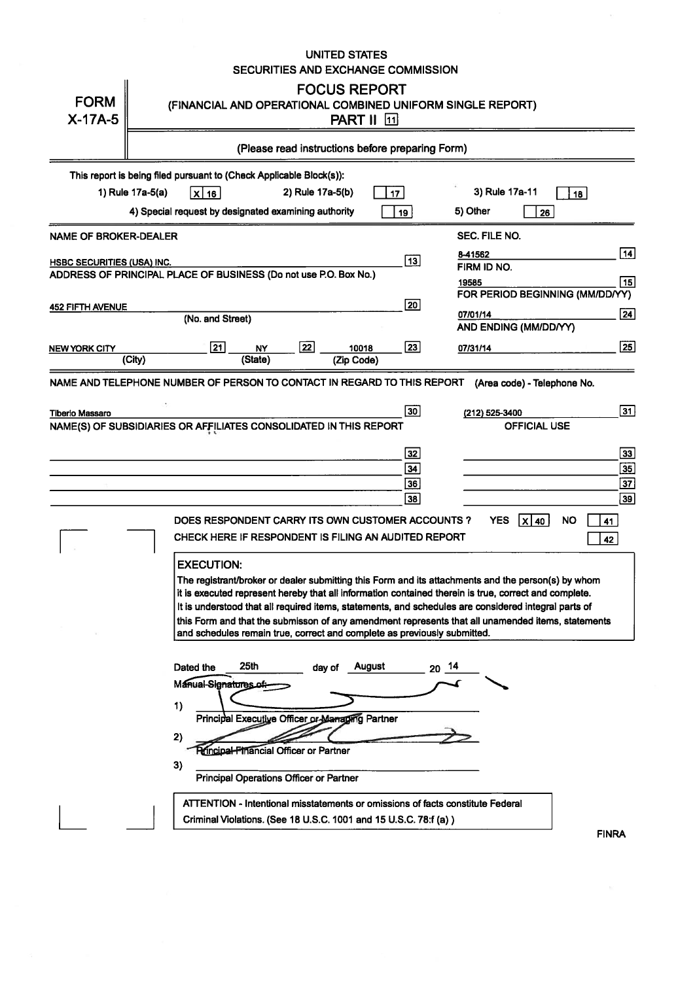|                                   | <b>UNITED STATES</b><br>SECURITIES AND EXCHANGE COMMISSION                                                                                                                                                                                                                                                                                                                                                                                                                                                                                                                                                                                                                                                                                                  |                                                                   |
|-----------------------------------|-------------------------------------------------------------------------------------------------------------------------------------------------------------------------------------------------------------------------------------------------------------------------------------------------------------------------------------------------------------------------------------------------------------------------------------------------------------------------------------------------------------------------------------------------------------------------------------------------------------------------------------------------------------------------------------------------------------------------------------------------------------|-------------------------------------------------------------------|
| <b>FORM</b><br>$X-17A-5$          | <b>FOCUS REPORT</b><br>(FINANCIAL AND OPERATIONAL COMBINED UNIFORM SINGLE REPORT)<br><b>PART II</b> [1]                                                                                                                                                                                                                                                                                                                                                                                                                                                                                                                                                                                                                                                     |                                                                   |
|                                   | (Please read instructions before preparing Form)                                                                                                                                                                                                                                                                                                                                                                                                                                                                                                                                                                                                                                                                                                            |                                                                   |
|                                   | This report is being filed pursuant to (Check Applicable Block(s)):<br>3) Rule 17a-11<br>1) Rule 17a-5(a)<br>2) Rule 17a-5(b)<br>$x _{16}$<br>17 <sub>1</sub><br>18                                                                                                                                                                                                                                                                                                                                                                                                                                                                                                                                                                                         |                                                                   |
|                                   | 4) Special request by designated examining authority<br>5) Other<br>19<br>26                                                                                                                                                                                                                                                                                                                                                                                                                                                                                                                                                                                                                                                                                |                                                                   |
| NAME OF BROKER-DEALER             | SEC. FILE NO.                                                                                                                                                                                                                                                                                                                                                                                                                                                                                                                                                                                                                                                                                                                                               |                                                                   |
| <b>HSBC SECURITIES (USA) INC.</b> | 8-41562<br>$\boxed{13}$<br>FIRM ID NO.<br>ADDRESS OF PRINCIPAL PLACE OF BUSINESS (Do not use P.O. Box No.)<br>19585                                                                                                                                                                                                                                                                                                                                                                                                                                                                                                                                                                                                                                         | 14 <br>15                                                         |
| <b>452 FIFTH AVENUE</b>           | FOR PERIOD BEGINNING (MM/DD/YY)<br>20<br>07/01/14                                                                                                                                                                                                                                                                                                                                                                                                                                                                                                                                                                                                                                                                                                           | 24                                                                |
|                                   | (No. and Street)<br>AND ENDING (MM/DD/YY)                                                                                                                                                                                                                                                                                                                                                                                                                                                                                                                                                                                                                                                                                                                   |                                                                   |
| NEW YORK CITY                     | $\sqrt{22}$<br>$\sqrt{21}$<br>23<br>10018<br><b>NY</b><br>07/31/14<br>(City)<br>(State)<br>(Zip Code)                                                                                                                                                                                                                                                                                                                                                                                                                                                                                                                                                                                                                                                       | $\sqrt{25}$                                                       |
| <b>Tiberio Massaro</b>            | NAME AND TELEPHONE NUMBER OF PERSON TO CONTACT IN REGARD TO THIS REPORT<br>(Area code) - Telephone No.<br>30<br>(212) 525-3400<br><b>OFFICIAL USE</b><br>NAME(S) OF SUBSIDIARIES OR AFFILIATES CONSOLIDATED IN THIS REPORT<br>32<br>34<br>36<br>38<br><b>YES</b><br><b>NO</b><br>DOES RESPONDENT CARRY ITS OWN CUSTOMER ACCOUNTS ?<br>$ X $ 40<br>41<br>CHECK HERE IF RESPONDENT IS FILING AN AUDITED REPORT<br>42<br><b>EXECUTION:</b>                                                                                                                                                                                                                                                                                                                     | 31<br>33<br>$\overline{35}$<br>$\overline{37}$<br>$\overline{39}$ |
|                                   | The registrant/broker or dealer submitting this Form and its attachments and the person(s) by whom<br>it is executed represent hereby that all information contained therein is true, correct and complete.<br>It is understood that all required items, statements, and schedules are considered integral parts of<br>this Form and that the submisson of any amendment represents that all unamended items, statements<br>and schedules remain true, correct and complete as previously submitted.<br>25 <sub>th</sub><br>August<br>-14<br>Dated the<br>day of<br>20<br>Manual-Signatures of :-<br>1)<br>Principal Executive Officer or Managing Partner<br>2)<br>Principal-Financial Officer or Partner<br>3)<br>Principal Operations Officer or Partner |                                                                   |
|                                   | ATTENTION - Intentional misstatements or omissions of facts constitute Federal<br>Criminal Violations. (See 18 U.S.C. 1001 and 15 U.S.C. 78:f (a))<br><b>FINRA</b>                                                                                                                                                                                                                                                                                                                                                                                                                                                                                                                                                                                          |                                                                   |

 $\mathcal{L}^{\text{max}}_{\text{max}}$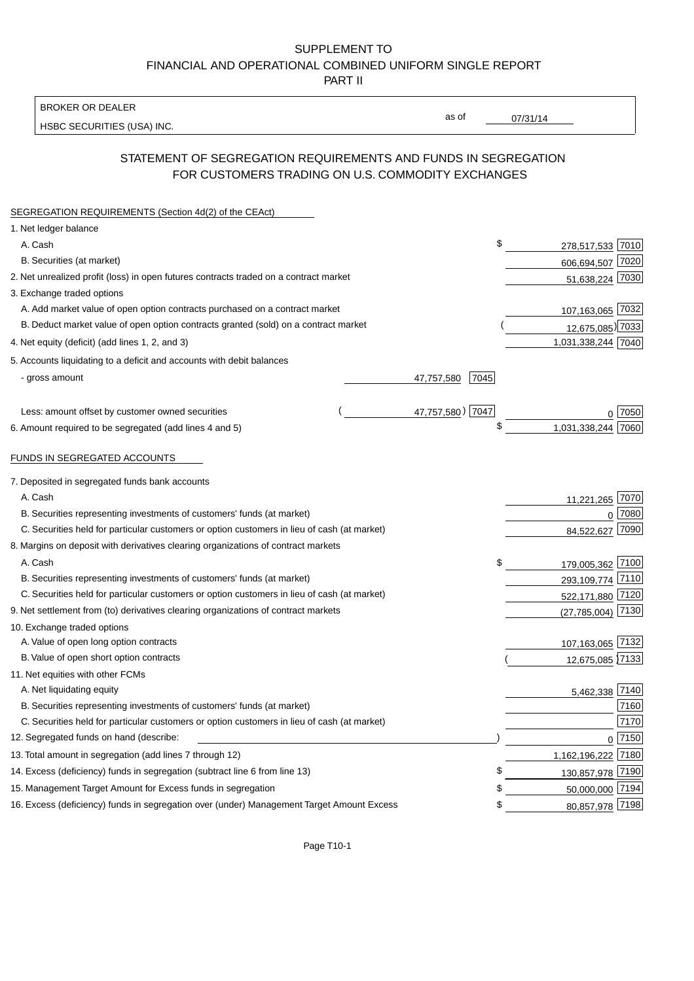### SUPPLEMENT TO FINANCIAL AND OPERATIONAL COMBINED UNIFORM SINGLE REPORT PART II

BROKER OR DEALER

HSBC SECURITIES (USA) INC.

 $07/31/14$ 

as of

## STATEMENT OF SEGREGATION REQUIREMENTS AND FUNDS IN SEGREGATION FOR CUSTOMERS TRADING ON U.S. COMMODITY EXCHANGES

| SEGREGATION REQUIREMENTS (Section 4d(2) of the CEAct)                                       |                    |                       |          |
|---------------------------------------------------------------------------------------------|--------------------|-----------------------|----------|
| 1. Net ledger balance                                                                       |                    |                       |          |
| A. Cash                                                                                     | \$                 | 278,517,533 7010      |          |
| B. Securities (at market)                                                                   |                    | 606,694,507 7020      |          |
| 2. Net unrealized profit (loss) in open futures contracts traded on a contract market       |                    | 51,638,224 7030       |          |
| 3. Exchange traded options                                                                  |                    |                       |          |
| A. Add market value of open option contracts purchased on a contract market                 |                    | 107,163,065 7032      |          |
| B. Deduct market value of open option contracts granted (sold) on a contract market         |                    | 12,675,085) 7033      |          |
| 4. Net equity (deficit) (add lines 1, 2, and 3)                                             |                    | 1,031,338,244 7040    |          |
| 5. Accounts liquidating to a deficit and accounts with debit balances                       |                    |                       |          |
| - gross amount                                                                              | 7045<br>47,757,580 |                       |          |
|                                                                                             |                    |                       |          |
| Less: amount offset by customer owned securities                                            | 47,757,580) 7047   |                       | ∩ 17050  |
| 6. Amount required to be segregated (add lines 4 and 5)                                     | \$                 | 1,031,338,244         | 7060     |
| FUNDS IN SEGREGATED ACCOUNTS                                                                |                    |                       |          |
| 7. Deposited in segregated funds bank accounts                                              |                    |                       |          |
| A. Cash                                                                                     |                    | 11,221,265            | 7070     |
| B. Securities representing investments of customers' funds (at market)                      |                    | $\Omega$              | 7080     |
| C. Securities held for particular customers or option customers in lieu of cash (at market) |                    | 84,522,627            | 7090     |
| 8. Margins on deposit with derivatives clearing organizations of contract markets           |                    |                       |          |
| A. Cash                                                                                     | \$                 | 179,005,362 7100      |          |
| B. Securities representing investments of customers' funds (at market)                      |                    | 293,109,774 7110      |          |
| C. Securities held for particular customers or option customers in lieu of cash (at market) |                    | 522,171,880 7120      |          |
| 9. Net settlement from (to) derivatives clearing organizations of contract markets          |                    | $(27, 785, 004)$ 7130 |          |
| 10. Exchange traded options                                                                 |                    |                       |          |
| A. Value of open long option contracts                                                      |                    | 107,163,065 7132      |          |
| B. Value of open short option contracts                                                     |                    | 12,675,085 7133       |          |
| 11. Net equities with other FCMs                                                            |                    |                       |          |
| A. Net liquidating equity                                                                   |                    | 5,462,338 7140        |          |
| B. Securities representing investments of customers' funds (at market)                      |                    |                       | 7160     |
| C. Securities held for particular customers or option customers in lieu of cash (at market) |                    |                       | 7170     |
| 12. Segregated funds on hand (describe:                                                     |                    |                       | $0$ 7150 |
| 13. Total amount in segregation (add lines 7 through 12)                                    |                    | 1,162,196,222 7180    |          |
| 14. Excess (deficiency) funds in segregation (subtract line 6 from line 13)                 | \$                 | 130,857,978 7190      |          |
| 15. Management Target Amount for Excess funds in segregation                                | \$                 | 50,000,000 7194       |          |
| 16. Excess (deficiency) funds in segregation over (under) Management Target Amount Excess   | \$                 | 80,857,978 7198       |          |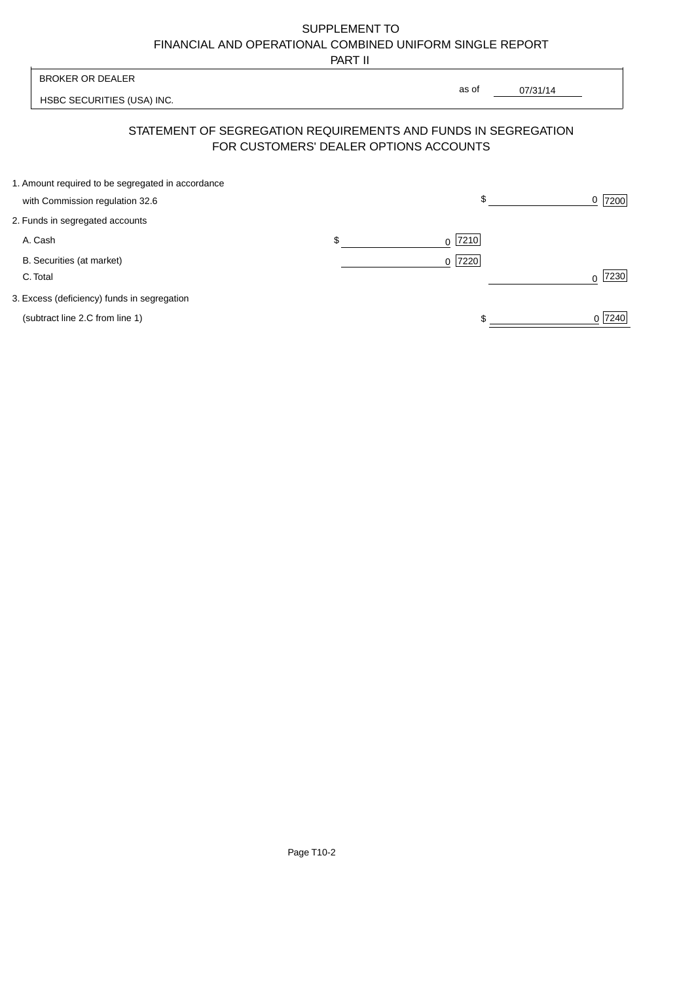# SUPPLEMENT TO FINANCIAL AND OPERATIONAL COMBINED UNIFORM SINGLE REPORT

PART II

|                                                                                      | .                                      |                                                                |                  |
|--------------------------------------------------------------------------------------|----------------------------------------|----------------------------------------------------------------|------------------|
| <b>BROKER OR DEALER</b>                                                              |                                        |                                                                |                  |
| HSBC SECURITIES (USA) INC.                                                           |                                        | as of<br>07/31/14                                              |                  |
|                                                                                      | FOR CUSTOMERS' DEALER OPTIONS ACCOUNTS | STATEMENT OF SEGREGATION REQUIREMENTS AND FUNDS IN SEGREGATION |                  |
| 1. Amount required to be segregated in accordance<br>with Commission regulation 32.6 |                                        | \$                                                             | 7200<br>0        |
|                                                                                      |                                        |                                                                |                  |
| 2. Funds in segregated accounts                                                      |                                        |                                                                |                  |
| A. Cash                                                                              | \$                                     | 7210<br>0                                                      |                  |
| B. Securities (at market)                                                            |                                        | 7220<br>$\Omega$                                               |                  |
| C. Total                                                                             |                                        |                                                                | 7230<br>$\Omega$ |
| 3. Excess (deficiency) funds in segregation                                          |                                        |                                                                |                  |
| (subtract line 2.C from line 1)                                                      |                                        |                                                                | 0 7240           |
|                                                                                      |                                        |                                                                |                  |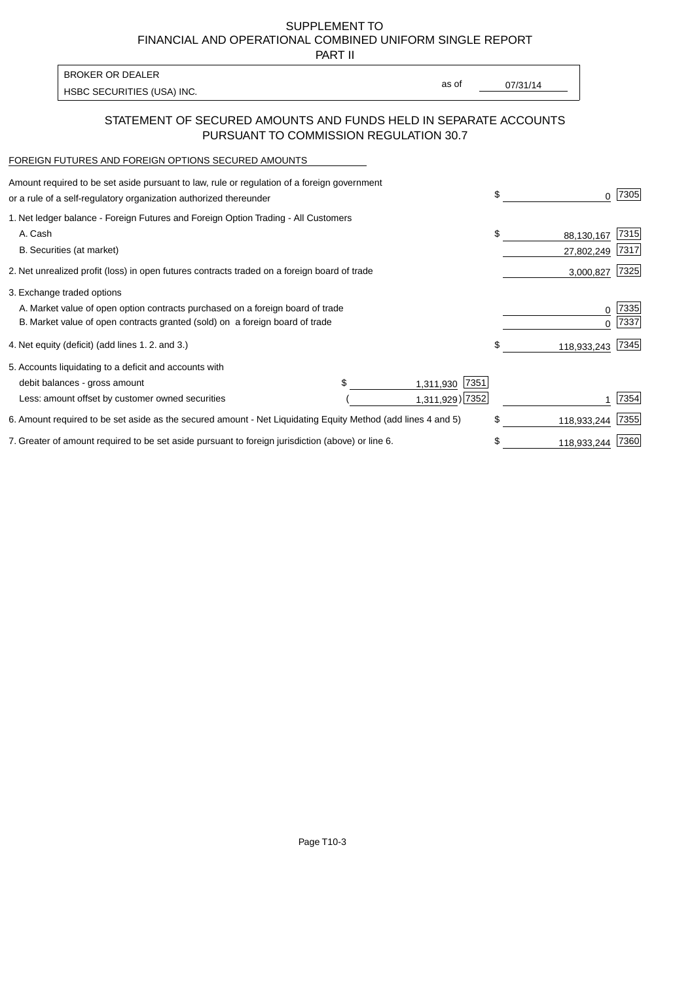SUPPLEMENT TO FINANCIAL AND OPERATIONAL COMBINED UNIFORM SINGLE REPORT

PART II

| <b>BROKER OR DEALER</b>    |       |          |
|----------------------------|-------|----------|
| HSBC SECURITIES (USA) INC. | as of | 07/31/14 |

### STATEMENT OF SECURED AMOUNTS AND FUNDS HELD IN SEPARATE ACCOUNTS PURSUANT TO COMMISSION REGULATION 30.7

#### FOREIGN FUTURES AND FOREIGN OPTIONS SECURED AMOUNTS

| Amount required to be set aside pursuant to law, rule or regulation of a foreign government<br>or a rule of a self-regulatory organization authorized thereunder | \$   | 0           | 7305 |
|------------------------------------------------------------------------------------------------------------------------------------------------------------------|------|-------------|------|
| 1. Net ledger balance - Foreign Futures and Foreign Option Trading - All Customers                                                                               |      |             |      |
| A. Cash                                                                                                                                                          | \$   | 88,130,167  | 7315 |
| B. Securities (at market)                                                                                                                                        |      | 27,802,249  | 7317 |
| 2. Net unrealized profit (loss) in open futures contracts traded on a foreign board of trade                                                                     |      | 3,000,827   | 7325 |
| 3. Exchange traded options                                                                                                                                       |      |             |      |
| A. Market value of open option contracts purchased on a foreign board of trade                                                                                   |      | 0           | 7335 |
| B. Market value of open contracts granted (sold) on a foreign board of trade                                                                                     |      |             | 7337 |
| 4. Net equity (deficit) (add lines 1.2. and 3.)                                                                                                                  | \$   | 118,933,243 | 7345 |
| 5. Accounts liquidating to a deficit and accounts with                                                                                                           |      |             |      |
| debit balances - gross amount<br>1,311,930                                                                                                                       | 7351 |             |      |
| 1,311,929) 7352<br>Less: amount offset by customer owned securities                                                                                              |      |             | 7354 |
| 6. Amount required to be set aside as the secured amount - Net Liquidating Equity Method (add lines 4 and 5)                                                     | \$   | 118,933,244 | 7355 |
| 7. Greater of amount required to be set aside pursuant to foreign jurisdiction (above) or line 6.                                                                |      | 118,933,244 | 7360 |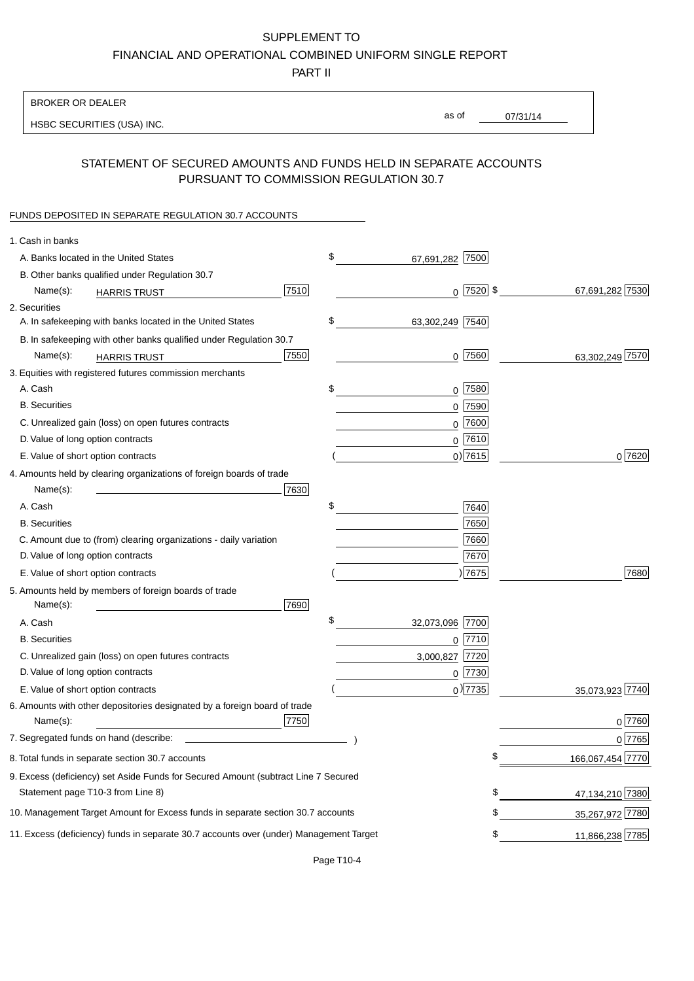### SUPPLEMENT TO

FINANCIAL AND OPERATIONAL COMBINED UNIFORM SINGLE REPORT

PART II

### BROKER OR DEALER

HSBC SECURITIES (USA) INC.

07/31/14 as of

## STATEMENT OF SECURED AMOUNTS AND FUNDS HELD IN SEPARATE ACCOUNTS PURSUANT TO COMMISSION REGULATION 30.7

#### FUNDS DEPOSITED IN SEPARATE REGULATION 30.7 ACCOUNTS

| 1. Cash in banks                                                                             |                  |
|----------------------------------------------------------------------------------------------|------------------|
| \$<br>A. Banks located in the United States<br>7500<br>67,691,282                            |                  |
| B. Other banks qualified under Regulation 30.7                                               |                  |
| 7510<br>$0$  7520  \$<br>Name(s):<br><b>HARRIS TRUST</b>                                     | 67,691,282 7530  |
| 2. Securities                                                                                |                  |
| \$<br>A. In safekeeping with banks located in the United States<br>63,302,249 7540           |                  |
| B. In safekeeping with other banks qualified under Regulation 30.7                           |                  |
| 7550<br>$0$ 7560<br>Name(s):<br><b>HARRIS TRUST</b>                                          | 63,302,249 7570  |
| 3. Equities with registered futures commission merchants                                     |                  |
| A. Cash<br>\$<br>$0$ 7580                                                                    |                  |
| <b>B.</b> Securities<br>$0$ 7590                                                             |                  |
| $0$ 7600<br>C. Unrealized gain (loss) on open futures contracts                              |                  |
| $0$ 7610<br>D. Value of long option contracts                                                |                  |
| $0$ ) 7615<br>E. Value of short option contracts                                             | 0 7620           |
| 4. Amounts held by clearing organizations of foreign boards of trade                         |                  |
| 7630<br>Name(s):                                                                             |                  |
| \$<br>A. Cash<br>7640                                                                        |                  |
| 7650<br><b>B.</b> Securities                                                                 |                  |
| C. Amount due to (from) clearing organizations - daily variation<br>7660                     |                  |
| D. Value of long option contracts<br>7670                                                    |                  |
| )7675<br>E. Value of short option contracts                                                  | 7680             |
| 5. Amounts held by members of foreign boards of trade                                        |                  |
| Name(s):<br>7690                                                                             |                  |
| \$<br>32,073,096 7700<br>A. Cash                                                             |                  |
| <b>B.</b> Securities<br>$0$ 7710                                                             |                  |
| C. Unrealized gain (loss) on open futures contracts<br>7720<br>3,000,827                     |                  |
| D. Value of long option contracts<br>$0$ 7730                                                |                  |
| $_0$ ) 7735<br>E. Value of short option contracts                                            | 35,073,923 7740  |
| 6. Amounts with other depositories designated by a foreign board of trade                    |                  |
| 7750<br>Name(s):                                                                             | $0^{7760}$       |
| 7. Segregated funds on hand (describe:                                                       | $0$ 7765         |
| 8. Total funds in separate section 30.7 accounts<br>\$                                       | 166,067,454 7770 |
| 9. Excess (deficiency) set Aside Funds for Secured Amount (subtract Line 7 Secured           |                  |
| Statement page T10-3 from Line 8)<br>\$                                                      | 47,134,210 7380  |
| \$<br>10. Management Target Amount for Excess funds in separate section 30.7 accounts        | 35,267,972 7780  |
| 11. Excess (deficiency) funds in separate 30.7 accounts over (under) Management Target<br>\$ | 11,866,238 7785  |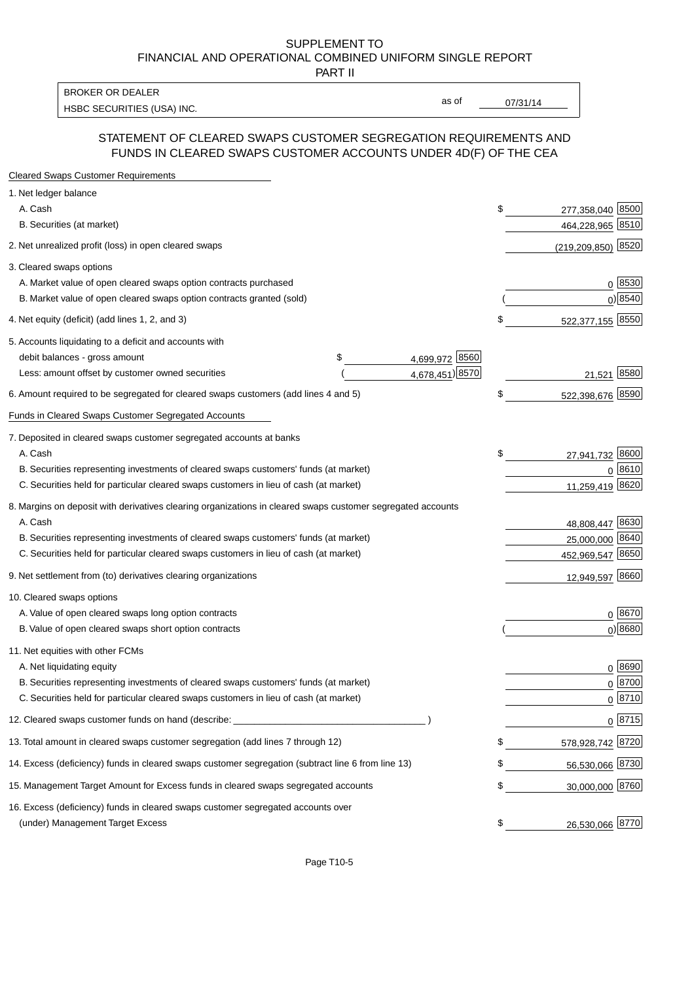#### SUPPLEMENT TO FINANCIAL AND OPERATIONAL COMBINED UNIFORM SINGLE REPORT PART II

HSBC SECURITIES (USA) INC. The contract of the contract of the contract of the contract of the contract of the contract of the contract of the contract of the contract of the contract of the contract of the contract of the BROKER OR DEALER

as of

### STATEMENT OF CLEARED SWAPS CUSTOMER SEGREGATION REQUIREMENTS AND FUNDS IN CLEARED SWAPS CUSTOMER ACCOUNTS UNDER 4D(F) OF THE CEA

| <b>Cleared Swaps Customer Requirements</b>                                                                  |                      |                          |
|-------------------------------------------------------------------------------------------------------------|----------------------|--------------------------|
| 1. Net ledger balance                                                                                       |                      |                          |
| A. Cash                                                                                                     |                      | \$<br>277,358,040 8500   |
| B. Securities (at market)                                                                                   |                      | 464,228,965 8510         |
| 2. Net unrealized profit (loss) in open cleared swaps                                                       |                      | 8520<br>(219, 209, 850)  |
| 3. Cleared swaps options                                                                                    |                      |                          |
| A. Market value of open cleared swaps option contracts purchased                                            |                      | $0^{8530}$               |
| B. Market value of open cleared swaps option contracts granted (sold)                                       |                      | 0 8540                   |
| 4. Net equity (deficit) (add lines 1, 2, and 3)                                                             |                      | \$<br>522,377,155 8550   |
| 5. Accounts liquidating to a deficit and accounts with                                                      |                      |                          |
| debit balances - gross amount                                                                               | 4,699,972 8560<br>\$ |                          |
| Less: amount offset by customer owned securities                                                            | 4,678,451) 8570      | 21,521 8580              |
| 6. Amount required to be segregated for cleared swaps customers (add lines 4 and 5)                         |                      | \$<br>522,398,676 8590   |
| Funds in Cleared Swaps Customer Segregated Accounts                                                         |                      |                          |
| 7. Deposited in cleared swaps customer segregated accounts at banks                                         |                      |                          |
| A. Cash                                                                                                     |                      | \$<br>8600<br>27,941,732 |
| B. Securities representing investments of cleared swaps customers' funds (at market)                        |                      | 0 8610                   |
| C. Securities held for particular cleared swaps customers in lieu of cash (at market)                       |                      | 11,259,419 8620          |
| 8. Margins on deposit with derivatives clearing organizations in cleared swaps customer segregated accounts |                      |                          |
| A. Cash                                                                                                     |                      | 48,808,447 8630          |
| B. Securities representing investments of cleared swaps customers' funds (at market)                        |                      | 25,000,000<br>8640       |
| C. Securities held for particular cleared swaps customers in lieu of cash (at market)                       |                      | 452,969,547 8650         |
| 9. Net settlement from (to) derivatives clearing organizations                                              |                      | 12,949,597 8660          |
| 10. Cleared swaps options                                                                                   |                      |                          |
| A. Value of open cleared swaps long option contracts                                                        |                      | $0^{8670}$               |
| B. Value of open cleared swaps short option contracts                                                       |                      | $0$ ) 8680               |
| 11. Net equities with other FCMs                                                                            |                      |                          |
| A. Net liquidating equity                                                                                   |                      | $0^{8690}$               |
| B. Securities representing investments of cleared swaps customers' funds (at market)                        |                      | $0 \frac{8700}{ }$       |
| C. Securities held for particular cleared swaps customers in lieu of cash (at market)                       |                      | 0 8710                   |
| 12. Cleared swaps customer funds on hand (describe: _                                                       |                      | $0 \;  8715 $            |
| 13. Total amount in cleared swaps customer segregation (add lines 7 through 12)                             |                      | 578,928,742 8720         |
| 14. Excess (deficiency) funds in cleared swaps customer segregation (subtract line 6 from line 13)          |                      | 56,530,066 8730          |
| 15. Management Target Amount for Excess funds in cleared swaps segregated accounts                          |                      | \$<br>30,000,000 8760    |
| 16. Excess (deficiency) funds in cleared swaps customer segregated accounts over                            |                      |                          |
| (under) Management Target Excess                                                                            |                      | \$<br>26,530,066 8770    |